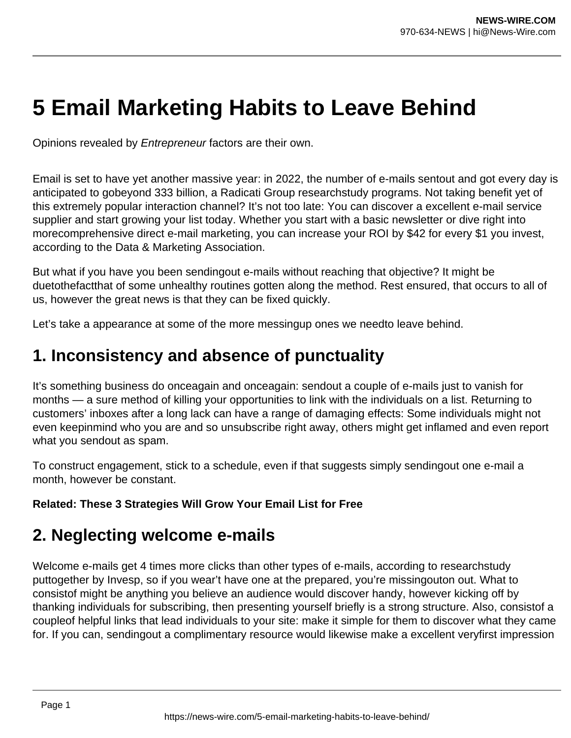# **5 Email Marketing Habits to Leave Behind**

Opinions revealed by Entrepreneur factors are their own.

Email is set to have yet another massive year: in 2022, the number of e-mails sentout and got every day is anticipated to gobeyond 333 billion, a Radicati Group researchstudy programs. Not taking benefit yet of this extremely popular interaction channel? It's not too late: You can discover a excellent e-mail service supplier and start growing your list today. Whether you start with a basic newsletter or dive right into morecomprehensive direct e-mail marketing, you can increase your ROI by \$42 for every \$1 you invest, according to the Data & Marketing Association.

But what if you have you been sendingout e-mails without reaching that objective? It might be duetothefactthat of some unhealthy routines gotten along the method. Rest ensured, that occurs to all of us, however the great news is that they can be fixed quickly.

Let's take a appearance at some of the more messingup ones we needto leave behind.

### **1. Inconsistency and absence of punctuality**

It's something business do onceagain and onceagain: sendout a couple of e-mails just to vanish for months — a sure method of killing your opportunities to link with the individuals on a list. Returning to customers' inboxes after a long lack can have a range of damaging effects: Some individuals might not even keepinmind who you are and so unsubscribe right away, others might get inflamed and even report what you sendout as spam.

To construct engagement, stick to a schedule, even if that suggests simply sendingout one e-mail a month, however be constant.

#### **Related: These 3 Strategies Will Grow Your Email List for Free**

### **2. Neglecting welcome e-mails**

Welcome e-mails get 4 times more clicks than other types of e-mails, according to researchstudy puttogether by Invesp, so if you wear't have one at the prepared, you're missingouton out. What to consistof might be anything you believe an audience would discover handy, however kicking off by thanking individuals for subscribing, then presenting yourself briefly is a strong structure. Also, consistof a coupleof helpful links that lead individuals to your site: make it simple for them to discover what they came for. If you can, sendingout a complimentary resource would likewise make a excellent veryfirst impression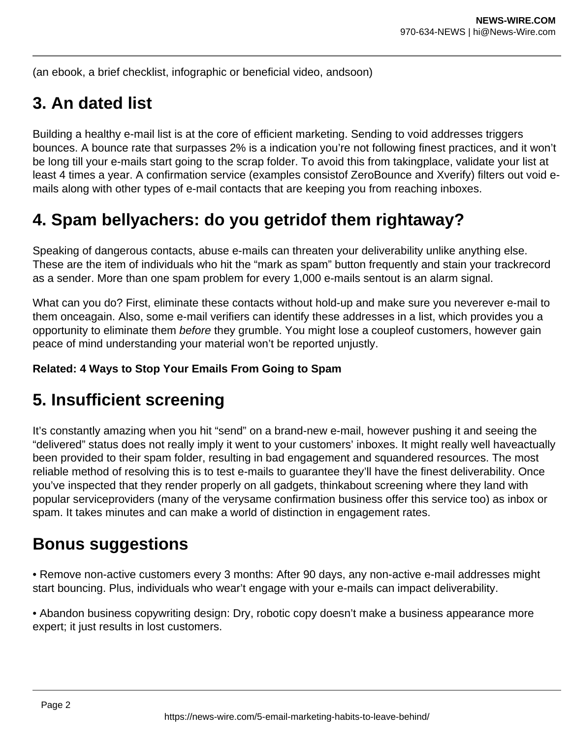(an ebook, a brief checklist, infographic or beneficial video, andsoon)

# **3. An dated list**

Building a healthy e-mail list is at the core of efficient marketing. Sending to void addresses triggers bounces. A bounce rate that surpasses 2% is a indication you're not following finest practices, and it won't be long till your e-mails start going to the scrap folder. To avoid this from takingplace, validate your list at least 4 times a year. A confirmation service (examples consistof ZeroBounce and Xverify) filters out void emails along with other types of e-mail contacts that are keeping you from reaching inboxes.

# **4. Spam bellyachers: do you getridof them rightaway?**

Speaking of dangerous contacts, abuse e-mails can threaten your deliverability unlike anything else. These are the item of individuals who hit the "mark as spam" button frequently and stain your trackrecord as a sender. More than one spam problem for every 1,000 e-mails sentout is an alarm signal.

What can you do? First, eliminate these contacts without hold-up and make sure you neverever e-mail to them onceagain. Also, some e-mail verifiers can identify these addresses in a list, which provides you a opportunity to eliminate them before they grumble. You might lose a coupleof customers, however gain peace of mind understanding your material won't be reported unjustly.

#### **Related: 4 Ways to Stop Your Emails From Going to Spam**

# **5. Insufficient screening**

It's constantly amazing when you hit "send" on a brand-new e-mail, however pushing it and seeing the "delivered" status does not really imply it went to your customers' inboxes. It might really well haveactually been provided to their spam folder, resulting in bad engagement and squandered resources. The most reliable method of resolving this is to test e-mails to guarantee they'll have the finest deliverability. Once you've inspected that they render properly on all gadgets, thinkabout screening where they land with popular serviceproviders (many of the verysame confirmation business offer this service too) as inbox or spam. It takes minutes and can make a world of distinction in engagement rates.

### **Bonus suggestions**

• Remove non-active customers every 3 months: After 90 days, any non-active e-mail addresses might start bouncing. Plus, individuals who wear't engage with your e-mails can impact deliverability.

• Abandon business copywriting design: Dry, robotic copy doesn't make a business appearance more expert; it just results in lost customers.